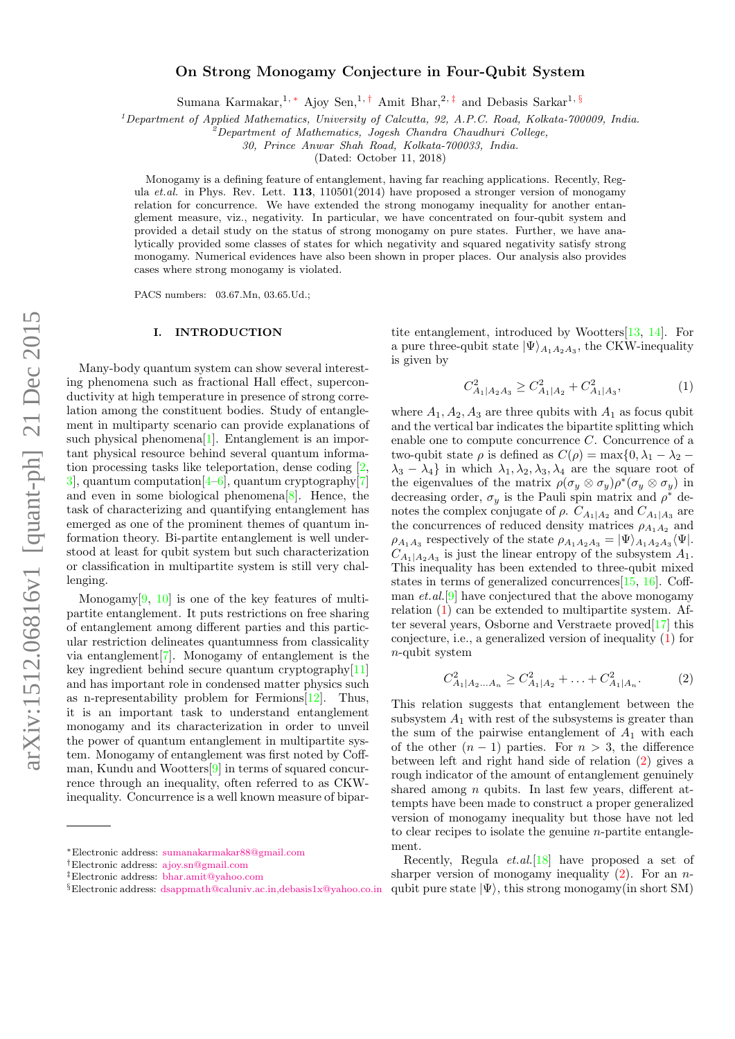# On Strong Monogamy Conjecture in Four-Qubit System

Sumana Karmakar,<sup>1, [∗](#page-0-0)</sup> Ajoy Sen,<sup>1,[†](#page-0-1)</sup> Amit Bhar,<sup>2,[‡](#page-0-2)</sup> and Debasis Sarkar<sup>1,[§](#page-0-3)</sup>

<sup>1</sup>Department of Applied Mathematics, University of Calcutta, 92, A.P.C. Road, Kolkata-700009, India.

 $\overline{D}$  Department of Mathematics, Jogesh Chandra Chaudhuri College,

30, Prince Anwar Shah Road, Kolkata-700033, India.

(Dated: October 11, 2018)

Monogamy is a defining feature of entanglement, having far reaching applications. Recently, Regula et.al. in Phys. Rev. Lett.  $113$ ,  $110501(2014)$  have proposed a stronger version of monogamy relation for concurrence. We have extended the strong monogamy inequality for another entanglement measure, viz., negativity. In particular, we have concentrated on four-qubit system and provided a detail study on the status of strong monogamy on pure states. Further, we have analytically provided some classes of states for which negativity and squared negativity satisfy strong monogamy. Numerical evidences have also been shown in proper places. Our analysis also provides cases where strong monogamy is violated.

PACS numbers: 03.67.Mn, 03.65.Ud.;

#### I. INTRODUCTION

Many-body quantum system can show several interesting phenomena such as fractional Hall effect, superconductivity at high temperature in presence of strong correlation among the constituent bodies. Study of entanglement in multiparty scenario can provide explanations of such physical phenomena $[1]$ . Entanglement is an important physical resource behind several quantum information processing tasks like teleportation, dense coding [\[2,](#page-5-1)  $3$ , quantum computation  $[4-6]$  $[4-6]$ , quantum cryptography $[7]$ and even in some biological phenomena[\[8\]](#page-5-6). Hence, the task of characterizing and quantifying entanglement has emerged as one of the prominent themes of quantum information theory. Bi-partite entanglement is well understood at least for qubit system but such characterization or classification in multipartite system is still very challenging.

Monogamy $[9, 10]$  $[9, 10]$  $[9, 10]$  is one of the key features of multipartite entanglement. It puts restrictions on free sharing of entanglement among different parties and this particular restriction delineates quantumness from classicality via entanglement[\[7\]](#page-5-5). Monogamy of entanglement is the key ingredient behind secure quantum cryptography[\[11\]](#page-6-0) and has important role in condensed matter physics such as n-representability problem for Fermions[\[12\]](#page-6-1). Thus, it is an important task to understand entanglement monogamy and its characterization in order to unveil the power of quantum entanglement in multipartite system. Monogamy of entanglement was first noted by Coffman, Kundu and Wootters[\[9\]](#page-5-7) in terms of squared concurrence through an inequality, often referred to as CKWinequality. Concurrence is a well known measure of bipartite entanglement, introduced by Wootters[\[13,](#page-6-2) [14\]](#page-6-3). For a pure three-qubit state  $|\Psi\rangle_{A_1A_2A_3}$ , the CKW-inequality is given by

<span id="page-0-4"></span>
$$
C_{A_1|A_2A_3}^2 \ge C_{A_1|A_2}^2 + C_{A_1|A_3}^2,\tag{1}
$$

where  $A_1, A_2, A_3$  are three qubits with  $A_1$  as focus qubit and the vertical bar indicates the bipartite splitting which enable one to compute concurrence C. Concurrence of a two-qubit state  $\rho$  is defined as  $C(\rho) = \max\{0, \lambda_1 - \lambda_2 \lambda_3 - \lambda_4$  in which  $\lambda_1, \lambda_2, \lambda_3, \lambda_4$  are the square root of the eigenvalues of the matrix  $\rho(\sigma_y \otimes \sigma_y) \rho^*(\sigma_y \otimes \sigma_y)$  in decreasing order,  $\sigma_y$  is the Pauli spin matrix and  $\rho^*$  denotes the complex conjugate of  $\rho$ .  $C_{A_1|A_2}$  and  $C_{A_1|A_3}$  are the concurrences of reduced density matrices  $\rho_{A_1A_2}$  and  $\rho_{A_1A_3}$  respectively of the state  $\rho_{A_1A_2A_3} = |\Psi\rangle_{A_1A_2A_3}\langle\Psi|$ .  $C_{A_1|A_2A_3}$  is just the linear entropy of the subsystem  $A_1$ . This inequality has been extended to three-qubit mixed states in terms of generalized concurrences  $[15, 16]$  $[15, 16]$  $[15, 16]$ . Coffman  $et. al. [9]$  $et. al. [9]$  have conjectured that the above monogamy relation [\(1\)](#page-0-4) can be extended to multipartite system. After several years, Osborne and Verstraete proved[\[17\]](#page-6-6) this conjecture, i.e., a generalized version of inequality [\(1\)](#page-0-4) for n-qubit system

<span id="page-0-5"></span>
$$
C_{A_1|A_2...A_n}^2 \ge C_{A_1|A_2}^2 + \ldots + C_{A_1|A_n}^2. \tag{2}
$$

This relation suggests that entanglement between the subsystem  $A_1$  with rest of the subsystems is greater than the sum of the pairwise entanglement of  $A_1$  with each of the other  $(n-1)$  parties. For  $n > 3$ , the difference between left and right hand side of relation [\(2\)](#page-0-5) gives a rough indicator of the amount of entanglement genuinely shared among  $n$  qubits. In last few years, different attempts have been made to construct a proper generalized version of monogamy inequality but those have not led to clear recipes to isolate the genuine  $n$ -partite entanglement.

Recently, Regula  $et. al.$  [\[18\]](#page-6-7) have proposed a set of sharper version of monogamy inequality  $(2)$ . For an *n*qubit pure state  $|\Psi\rangle$ , this strong monogamy(in short SM)

<span id="page-0-0"></span><sup>∗</sup>Electronic address: [sumanakarmakar88@gmail.com](mailto:sumanakarmakar88@gmail.com)

<span id="page-0-1"></span><sup>†</sup>Electronic address: [ajoy.sn@gmail.com](mailto:ajoy.sn@gmail.com)

<span id="page-0-2"></span><sup>‡</sup>Electronic address: [bhar.amit@yahoo.com](mailto:bhar.amit@yahoo.com)

<span id="page-0-3"></span><sup>§</sup>Electronic address: [dsappmath@caluniv.ac.in,debasis1x@yahoo.co.in](mailto:dsappmath@caluniv.ac.in,debasis1x@yahoo.co.in)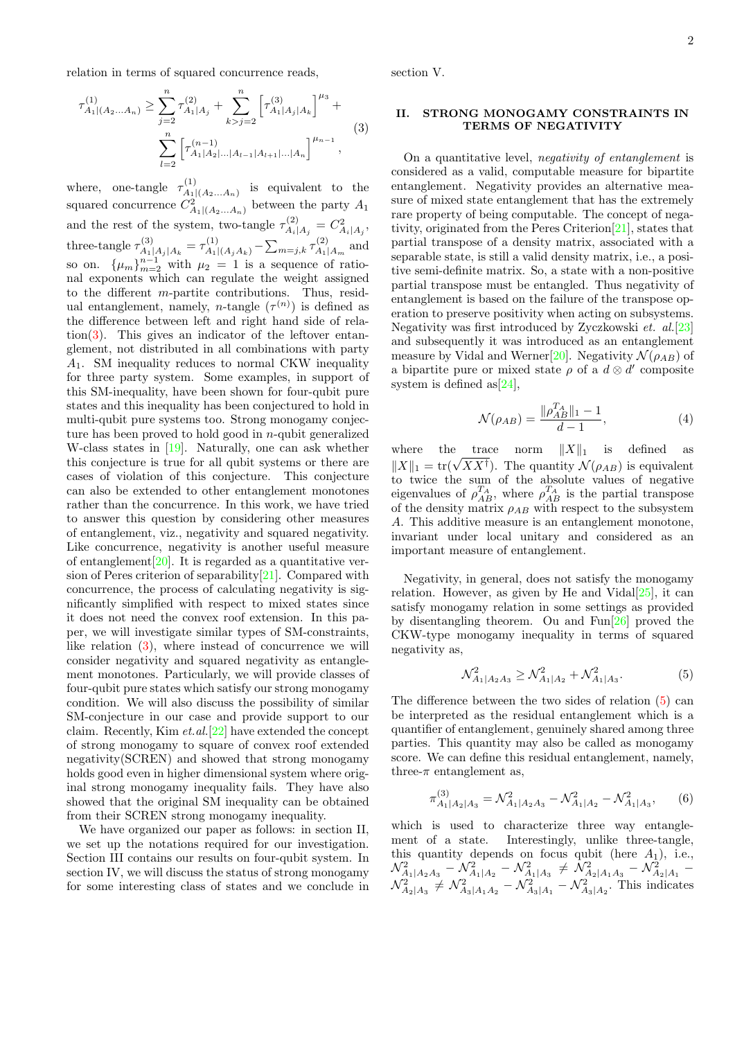relation in terms of squared concurrence reads,

<span id="page-1-0"></span>
$$
\tau_{A_1|(A_2...A_n)}^{(1)} \ge \sum_{j=2}^n \tau_{A_1|A_j}^{(2)} + \sum_{k>j=2}^n \left[ \tau_{A_1|A_j|A_k}^{(3)} \right]^{\mu_3} + \sum_{l=2}^n \left[ \tau_{A_1|A_2|\dots|A_{l-1}|A_{l+1}|\dots|A_n}^{(4)} \right]^{\mu_{n-1}},
$$
\n(3)

where, one-tangle  $\tau_{A_1}^{(1)}$  $A_1|(A_2...A_n)$  is equivalent to the squared concurrence  $C_{A_1|(A_2...A_n)}^2$  between the party  $A_1$ and the rest of the system, two-tangle  $\tau_{A}^{(2)}$  $C^{(2)}_{A_i|A_j} = C^2_{A_i|A_j},$ three-tangle  $\tau_{A}^{(3)}$  $A_1|A_j|A_k = \tau_{A_1|(A_jA_k)}^{(1)} - \sum_{m=j,k} \tau_{A_1}^{(2)}$  $A_1|A_m$  and so on.  $\{\mu_m\}_{m=2}^{n-1}$  with  $\mu_2 = 1$  is a sequence of rational exponents which can regulate the weight assigned to the different m-partite contributions. Thus, residual entanglement, namely, *n*-tangle  $(\tau^{(n)})$  is defined as the difference between left and right hand side of rela-tion[\(3\)](#page-1-0). This gives an indicator of the leftover entanglement, not distributed in all combinations with party  $A_1$ . SM inequality reduces to normal CKW inequality for three party system. Some examples, in support of this SM-inequality, have been shown for four-qubit pure states and this inequality has been conjectured to hold in multi-qubit pure systems too. Strong monogamy conjecture has been proved to hold good in  $n$ -qubit generalized W-class states in [\[19\]](#page-6-8). Naturally, one can ask whether this conjecture is true for all qubit systems or there are cases of violation of this conjecture. This conjecture can also be extended to other entanglement monotones rather than the concurrence. In this work, we have tried to answer this question by considering other measures of entanglement, viz., negativity and squared negativity. Like concurrence, negativity is another useful measure of entanglement  $[20]$ . It is regarded as a quantitative version of Peres criterion of separability[\[21\]](#page-6-10). Compared with concurrence, the process of calculating negativity is significantly simplified with respect to mixed states since it does not need the convex roof extension. In this paper, we will investigate similar types of SM-constraints, like relation [\(3\)](#page-1-0), where instead of concurrence we will consider negativity and squared negativity as entanglement monotones. Particularly, we will provide classes of four-qubit pure states which satisfy our strong monogamy condition. We will also discuss the possibility of similar SM-conjecture in our case and provide support to our claim. Recently, Kim et.al.[\[22\]](#page-6-11) have extended the concept of strong monogamy to square of convex roof extended negativity(SCREN) and showed that strong monogamy holds good even in higher dimensional system where original strong monogamy inequality fails. They have also showed that the original SM inequality can be obtained from their SCREN strong monogamy inequality.

We have organized our paper as follows: in section II, we set up the notations required for our investigation. Section III contains our results on four-qubit system. In section IV, we will discuss the status of strong monogamy for some interesting class of states and we conclude in section V.

## II. STRONG MONOGAMY CONSTRAINTS IN TERMS OF NEGATIVITY

On a quantitative level, negativity of entanglement is considered as a valid, computable measure for bipartite entanglement. Negativity provides an alternative measure of mixed state entanglement that has the extremely rare property of being computable. The concept of negativity, originated from the Peres Criterion[\[21\]](#page-6-10), states that partial transpose of a density matrix, associated with a separable state, is still a valid density matrix, i.e., a positive semi-definite matrix. So, a state with a non-positive partial transpose must be entangled. Thus negativity of entanglement is based on the failure of the transpose operation to preserve positivity when acting on subsystems. Negativity was first introduced by Zyczkowski et. al.[\[23\]](#page-6-12) and subsequently it was introduced as an entanglement measure by Vidal and Werner<sup>[\[20\]](#page-6-9)</sup>. Negativity  $\mathcal{N}(\rho_{AB})$  of a bipartite pure or mixed state  $\rho$  of a  $d \otimes d'$  composite system is defined as  $[24]$ ,

$$
\mathcal{N}(\rho_{AB}) = \frac{\|\rho_{AB}^{T_A}\|_1 - 1}{d - 1},\tag{4}
$$

where the trace norm  $||X||_1$  is defined as where the trace norm  $||A||_1$  is defined as  $||X||_1 = \text{tr}(\sqrt{XX^{\dagger}})$ . The quantity  $\mathcal{N}(\rho_{AB})$  is equivalent to twice the sum of the absolute values of negative eigenvalues of  $\rho_{AB}^{T_A}$ , where  $\rho_{AB}^{T_A}$  is the partial transpose of the density matrix  $\rho_{AB}$  with respect to the subsystem A. This additive measure is an entanglement monotone, invariant under local unitary and considered as an important measure of entanglement.

Negativity, in general, does not satisfy the monogamy relation. However, as given by He and Vidal $[25]$ , it can satisfy monogamy relation in some settings as provided by disentangling theorem. Ou and Fun[\[26\]](#page-6-15) proved the CKW-type monogamy inequality in terms of squared negativity as,

<span id="page-1-1"></span>
$$
\mathcal{N}_{A_1|A_2A_3}^2 \ge \mathcal{N}_{A_1|A_2}^2 + \mathcal{N}_{A_1|A_3}^2. \tag{5}
$$

The difference between the two sides of relation [\(5\)](#page-1-1) can be interpreted as the residual entanglement which is a quantifier of entanglement, genuinely shared among three parties. This quantity may also be called as monogamy score. We can define this residual entanglement, namely, three- $\pi$  entanglement as,

$$
\pi_{A_1|A_2|A_3}^{(3)} = \mathcal{N}_{A_1|A_2A_3}^2 - \mathcal{N}_{A_1|A_2}^2 - \mathcal{N}_{A_1|A_3}^2,\tag{6}
$$

which is used to characterize three way entanglement of a state. Interestingly, unlike three-tangle, this quantity depends on focus qubit (here  $A_1$ ), i.e.,  $\mathcal{N}_{A_1|A_2A_3}^2 - \mathcal{N}_{A_1|A_2}^2 - \mathcal{N}_{A_1|A_3}^2 \neq \mathcal{N}_{A_2|A_1A_3}^2 - \mathcal{N}_{A_2|A_1}^2$  –  $\mathcal{N}_{A_2|A_3}^2 \neq \mathcal{N}_{A_3|A_1A_2}^2 - \mathcal{N}_{A_3|A_1}^2 - \mathcal{N}_{A_3|A_2}^2$ . This indicates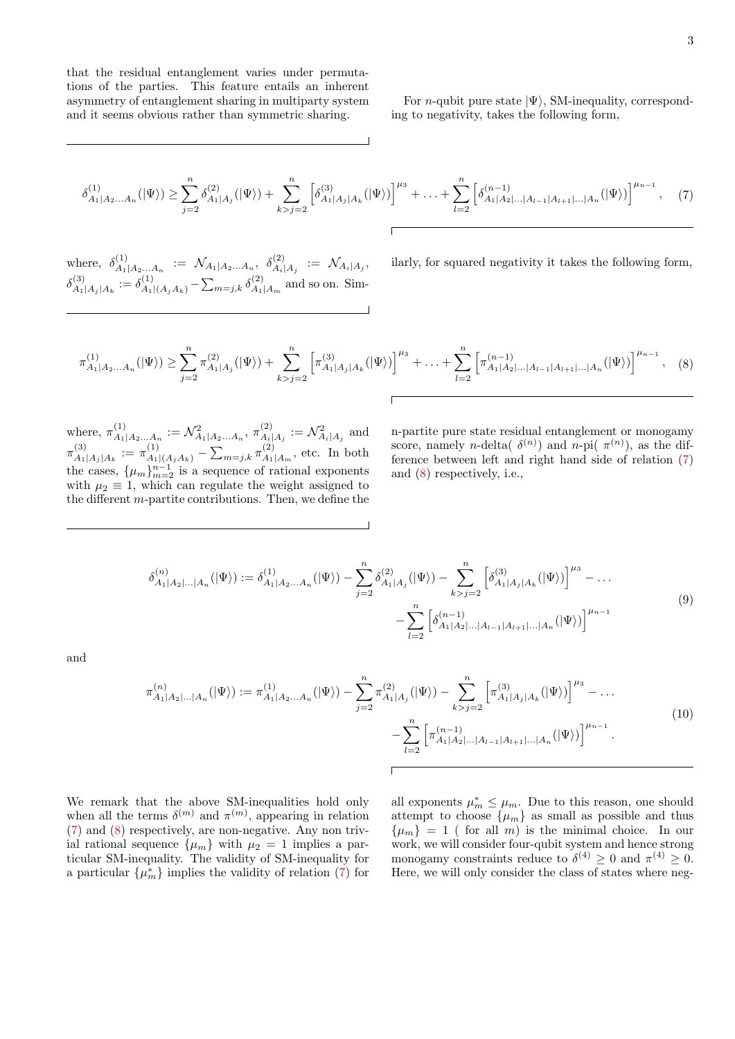that the residual entanglement varies under permutations of the parties. This feature entails an inherent asymmetry of entanglement sharing in multiparty system and it seems obvious rather than symmetric sharing.

For *n*-qubit pure state  $|\Psi\rangle$ , SM-inequality, corresponding to negativity, takes the following form,

<span id="page-2-0"></span>
$$
\delta_{A_1|A_2...A_n}^{(1)}(|\Psi\rangle) \ge \sum_{j=2}^n \delta_{A_1|A_j}^{(2)}(|\Psi\rangle) + \sum_{k>j=2}^n \left[ \delta_{A_1|A_j|A_k}^{(3)}(|\Psi\rangle) \right]^{\mu_3} + ... + \sum_{l=2}^n \left[ \delta_{A_1|A_2|...|A_{l-1}|A_{l+1}|...|A_n}^{(n-1)}(|\Psi\rangle) \right]^{\mu_{n-1}}, \quad (7)
$$

where,  $\delta^{(1)}_{A_1}$  $\begin{array}{rcl} \lambda^{(1)}_{A_1|A_2...A_n} & := & \mathcal{N}_{A_1|A_2...A_n}, \ \ \delta^{(2)}_{A_i|A_2...A_n} & \end{array}$  $\mathcal{N}_{A_i|A_j}^{(2)}$   $:=$   $\mathcal{N}_{A_i|A_j},$  $\delta^{(3)}_{A_1}$  $A_1|A_j|A_k := \delta_{A_1|(A_jA_k)}^{(1)} - \sum_{m=j,k} \delta_{A_1}^{(2)}$  $A_1|A_m$  and so on. Sim-

ilarly, for squared negativity it takes the following form,

$$
\tau_{A_1|A_2...A_n}^{(1)}(|\Psi\rangle) \ge \sum_{j=2}^n \pi_{A_1|A_j}^{(2)}(|\Psi\rangle) + \sum_{k>j=2}^n \left[ \pi_{A_1|A_j|A_k}^{(3)}(|\Psi\rangle) \right]^{\mu_3} + ... + \sum_{l=2}^n \left[ \pi_{A_1|A_2|...|A_{l-1}|A_{l+1}|...|A_n}^{(n-1)}(|\Psi\rangle) \right]^{\mu_{n-1}}, \quad (8)
$$

where,  $\pi_{A_1}^{(1)}$  $A_1|A_2...A_n := \mathcal{N}_{A_1|A_2...A_n}^2$ ,  $\pi_{A_i}^{(2)}$  $\mathcal{N}_{A_i|A_j}^{(2)} := \mathcal{N}_{A_i|A_j}^2$  and  $\pi_{4}^{(3)}$  $A_1|A_j|A_k := \pi_{A_1|(A_jA_k)}^{(1)} - \sum_{m=j,k} \pi_{A_1}^{(2)}$  $A_1|A_m$ , etc. In both the cases,  $\{\mu_m\}_{m=2}^{n-1}$  is a sequence of rational exponents with  $\mu_2 \equiv 1$ , which can regulate the weight assigned to the different  $m$ -partite contributions. Then, we define the

n-partite pure state residual entanglement or monogamy score, namely *n*-delta( $\delta^{(n)}$ ) and *n*-pi( $\pi^{(n)}$ ), as the difference between left and right hand side of relation [\(7\)](#page-2-0) and [\(8\)](#page-2-1) respectively, i.e.,

$$
\delta_{A_1|A_2|...|A_n}^{(n)}(|\Psi\rangle) := \delta_{A_1|A_2...A_n}^{(1)}(|\Psi\rangle) - \sum_{j=2}^n \delta_{A_1|A_j}^{(2)}(|\Psi\rangle) - \sum_{k>j=2}^n \left[ \delta_{A_1|A_j|A_k}^{(3)}(|\Psi\rangle) \right]^{\mu_3} - ...
$$
\n
$$
- \sum_{l=2}^n \left[ \delta_{A_1|A_2|...|A_{l-1}|A_{l+1}|...|A_n}^{(n-1)}(|\Psi\rangle) \right]^{\mu_{n-1}}
$$
\n(9)

<span id="page-2-3"></span><span id="page-2-2"></span>and

<span id="page-2-1"></span> $\overline{1}$ 

$$
\pi_{A_1|A_2|\ldots|A_n}^{(n)}(|\Psi\rangle) := \pi_{A_1|A_2\ldots A_n}^{(1)}(|\Psi\rangle) - \sum_{j=2}^n \pi_{A_1|A_j}^{(2)}(|\Psi\rangle) - \sum_{k>j=2}^n \left[ \pi_{A_1|A_j|A_k}^{(3)}(|\Psi\rangle) \right]^{\mu_3} - \ldots
$$
\n
$$
- \sum_{l=2}^n \left[ \pi_{A_1|A_2|\ldots|A_{l-1}|A_{l+1}|\ldots|A_n}^{(n-1)}(|\Psi\rangle) \right]^{\mu_{n-1}}.
$$
\n(10)

We remark that the above SM-inequalities hold only when all the terms  $\delta^{(m)}$  and  $\pi^{(m)}$ , appearing in relation [\(7\)](#page-2-0) and [\(8\)](#page-2-1) respectively, are non-negative. Any non trivial rational sequence  $\{\mu_m\}$  with  $\mu_2 = 1$  implies a particular SM-inequality. The validity of SM-inequality for a particular  $\{\mu_m^*\}$  implies the validity of relation [\(7\)](#page-2-0) for

all exponents  $\mu_m^* \leq \mu_m$ . Due to this reason, one should attempt to choose  $\{\mu_m\}$  as small as possible and thus  $\{\mu_m\} = 1$  ( for all m) is the minimal choice. In our work, we will consider four-qubit system and hence strong monogamy constraints reduce to  $\delta^{(4)} \geq 0$  and  $\pi^{(4)} \geq 0$ . Here, we will only consider the class of states where neg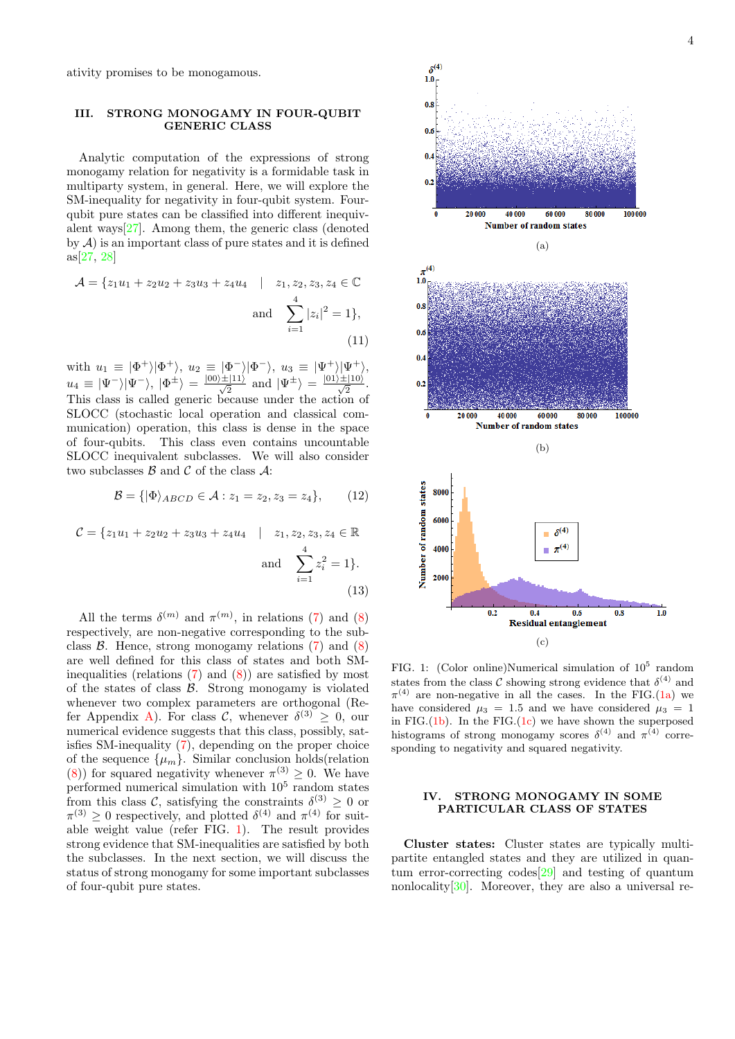ativity promises to be monogamous.

## III. STRONG MONOGAMY IN FOUR-QUBIT GENERIC CLASS

Analytic computation of the expressions of strong monogamy relation for negativity is a formidable task in multiparty system, in general. Here, we will explore the SM-inequality for negativity in four-qubit system. Fourqubit pure states can be classified into different inequivalent ways[\[27\]](#page-6-16). Among them, the generic class (denoted by  $A$ ) is an important class of pure states and it is defined as[\[27,](#page-6-16) [28\]](#page-6-17)

$$
\mathcal{A} = \{z_1u_1 + z_2u_2 + z_3u_3 + z_4u_4 \mid z_1, z_2, z_3, z_4 \in \mathbb{C} \text{ and } \sum_{i=1}^4 |z_i|^2 = 1\},\tag{11}
$$

with  $u_1 \equiv |\Phi^+\rangle |\Phi^+\rangle$ ,  $u_2 \equiv |\Phi^-\rangle |\Phi^-\rangle$ ,  $u_3 \equiv |\Psi^+\rangle |\Psi^+\rangle$ ,  $u_4 \equiv |\Psi^-\rangle |\Psi^-\rangle, |\Phi^{\pm}\rangle = \frac{|00\rangle \pm |11\rangle}{\sqrt{2}}$  and  $|\Psi^{\pm}\rangle = \frac{|01\rangle \pm |10\rangle}{\sqrt{2}}$ . This class is called generic because under the action of SLOCC (stochastic local operation and classical communication) operation, this class is dense in the space of four-qubits. This class even contains uncountable SLOCC inequivalent subclasses. We will also consider two subclasses  $\beta$  and  $\beta$  of the class  $\mathcal{A}$ :

$$
\mathcal{B} = \{ |\Phi\rangle_{ABCD} \in \mathcal{A} : z_1 = z_2, z_3 = z_4 \},\qquad(12)
$$

$$
\mathcal{C} = \{z_1u_1 + z_2u_2 + z_3u_3 + z_4u_4 \mid z_1, z_2, z_3, z_4 \in \mathbb{R} \text{ and } \sum_{i=1}^4 z_i^2 = 1\}.
$$
\n(13)

All the terms  $\delta^{(m)}$  and  $\pi^{(m)}$ , in relations [\(7\)](#page-2-0) and [\(8\)](#page-2-1) respectively, are non-negative corresponding to the subclass  $\beta$ . Hence, strong monogamy relations [\(7\)](#page-2-0) and [\(8\)](#page-2-1) are well defined for this class of states and both SMinequalities (relations  $(7)$  and  $(8)$ ) are satisfied by most of the states of class  $\beta$ . Strong monogamy is violated whenever two complex parameters are orthogonal (Re-fer Appendix [A\)](#page-6-18). For class C, whenever  $\delta^{(3)} \geq 0$ , our numerical evidence suggests that this class, possibly, satisfies SM-inequality [\(7\)](#page-2-0), depending on the proper choice of the sequence  $\{\mu_m\}$ . Similar conclusion holds(relation [\(8\)](#page-2-1)) for squared negativity whenever  $\pi^{(3)} \geq 0$ . We have performed numerical simulation with  $10<sup>5</sup>$  random states from this class C, satisfying the constraints  $\delta^{(3)} \geq 0$  or  $\pi^{(3)} \geq 0$  respectively, and plotted  $\delta^{(4)}$  and  $\pi^{(4)}$  for suitable weight value (refer FIG. [1\)](#page-3-0). The result provides strong evidence that SM-inequalities are satisfied by both the subclasses. In the next section, we will discuss the status of strong monogamy for some important subclasses of four-qubit pure states.

<span id="page-3-2"></span><span id="page-3-1"></span>

<span id="page-3-3"></span><span id="page-3-0"></span>FIG. 1: (Color online)Numerical simulation of  $10^5$  random states from the class C showing strong evidence that  $\delta^{(4)}$  and  $\pi^{(4)}$  are non-negative in all the cases. In the FIG.[\(1a\)](#page-3-1) we have considered  $\mu_3 = 1.5$  and we have considered  $\mu_3 = 1$ in FIG. $(1b)$ . In the FIG. $(1c)$  we have shown the superposed histograms of strong monogamy scores  $\delta^{(4)}$  and  $\pi^{(4)}$  corresponding to negativity and squared negativity.

### IV. STRONG MONOGAMY IN SOME PARTICULAR CLASS OF STATES

Cluster states: Cluster states are typically multipartite entangled states and they are utilized in quantum error-correcting codes[\[29\]](#page-6-19) and testing of quantum nonlocality[\[30\]](#page-6-20). Moreover, they are also a universal re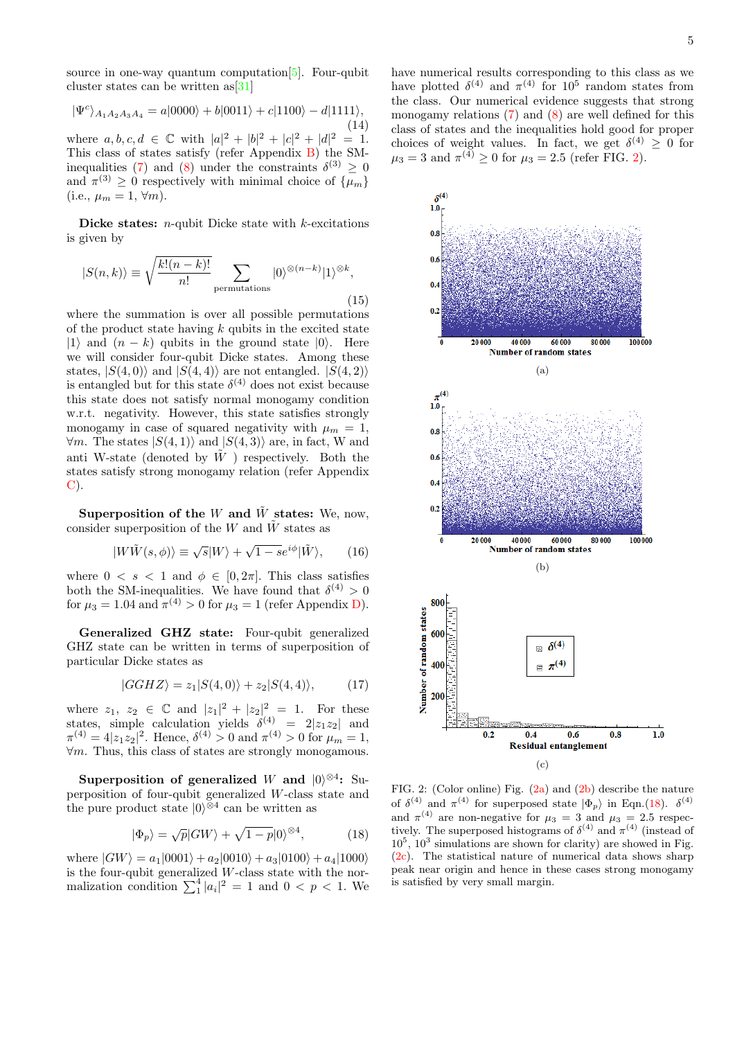source in one-way quantum computation[\[5\]](#page-5-9). Four-qubit cluster states can be written as[\[31\]](#page-6-21)

$$
|\Psi^c\rangle_{A_1A_2A_3A_4} = a|0000\rangle + b|0011\rangle + c|1100\rangle - d|1111\rangle, \tag{14}
$$

(14) where  $a, b, c, d \in \mathbb{C}$  with  $|a|^2 + |b|^2 + |c|^2 + |d|^2 = 1$ . This class of states satisfy (refer Appendix [B\)](#page-6-22) the SM-inequalities [\(7\)](#page-2-0) and [\(8\)](#page-2-1) under the constraints  $\delta^{(3)} \geq 0$ and  $\pi^{(3)} \geq 0$  respectively with minimal choice of  $\{\mu_m\}$ (i.e.,  $\mu_m = 1, \forall m$ ).

Dicke states:  $n$ -qubit Dicke state with  $k$ -excitations is given by

$$
|S(n,k)\rangle \equiv \sqrt{\frac{k!(n-k)!}{n!}} \sum_{\text{permutations}} |0\rangle^{\otimes (n-k)} |1\rangle^{\otimes k},\tag{15}
$$

where the summation is over all possible permutations of the product state having  $k$  qubits in the excited state |1\; and  $(n - k)$  qubits in the ground state  $|0\rangle$ . Here we will consider four-qubit Dicke states. Among these states,  $|S(4,0)\rangle$  and  $|S(4,4)\rangle$  are not entangled.  $|S(4, 2)\rangle$ is entangled but for this state  $\delta^{(4)}$  does not exist because this state does not satisfy normal monogamy condition w.r.t. negativity. However, this state satisfies strongly monogamy in case of squared negativity with  $\mu_m = 1$ ,  $\forall m$ . The states  $|S(4,1)\rangle$  and  $|S(4,3)\rangle$  are, in fact, W and anti W-state (denoted by  $\tilde{W}$ ) respectively. Both the states satisfy strong monogamy relation (refer Appendix [C\)](#page-7-0).

Superposition of the W and  $\tilde{W}$  states: We, now, consider superposition of the W and  $\tilde{W}$  states as

$$
|W\tilde{W}(s,\phi)\rangle \equiv \sqrt{s}|W\rangle + \sqrt{1-s}e^{i\phi}|\tilde{W}\rangle, \qquad (16)
$$

where  $0 \lt s \lt 1$  and  $\phi \in [0, 2\pi]$ . This class satisfies both the SM-inequalities. We have found that  $\delta^{(4)} > 0$ for  $\mu_3 = 1.04$  and  $\pi^{(4)} > 0$  for  $\mu_3 = 1$  (refer Appendix [D\)](#page-7-1).

Generalized GHZ state: Four-qubit generalized GHZ state can be written in terms of superposition of particular Dicke states as

$$
|GGHZ\rangle = z_1|S(4,0)\rangle + z_2|S(4,4)\rangle, \qquad (17)
$$

where  $z_1, z_2 \in \mathbb{C}$  and  $|z_1|^2 + |z_2|^2 = 1$ . For these states, simple calculation yields  $\delta^{(4)} = 2|z_1z_2|$  and  $\pi^{(4)} = 4|z_1z_2|^2$ . Hence,  $\delta^{(4)} > 0$  and  $\pi^{(4)} > 0$  for  $\mu_m = 1$ ,  $\forall m$ . Thus, this class of states are strongly monogamous.

Superposition of generalized W and  $|0\rangle^{\otimes 4}$ : Superposition of four-qubit generalized W-class state and the pure product state  $|0\rangle^{\otimes 4}$  can be written as

<span id="page-4-3"></span>
$$
|\Phi_p\rangle = \sqrt{p}|GW\rangle + \sqrt{1-p}|0\rangle^{\otimes 4},\tag{18}
$$

where  $|GW\rangle = a_1|0001\rangle + a_2|0010\rangle + a_3|0100\rangle + a_4|1000\rangle$ is the four-qubit generalized W-class state with the normalization condition  $\sum_{1}^{4} |a_i|^2 = 1$  and  $0 < p < 1$ . We have numerical results corresponding to this class as we have plotted  $\delta^{(4)}$  and  $\pi^{(4)}$  for  $10^5$  random states from the class. Our numerical evidence suggests that strong monogamy relations  $(7)$  and  $(8)$  are well defined for this class of states and the inequalities hold good for proper choices of weight values. In fact, we get  $\delta^{(4)} \geq 0$  for  $\mu_3 = 3$  and  $\pi^{(4)} \ge 0$  for  $\mu_3 = 2.5$  (refer FIG. [2\)](#page-4-0).

<span id="page-4-2"></span><span id="page-4-1"></span>

<span id="page-4-4"></span><span id="page-4-0"></span>FIG. 2: (Color online) Fig. [\(2a\)](#page-4-1) and [\(2b\)](#page-4-2) describe the nature of  $\delta^{(4)}$  and  $\pi^{(4)}$  for superposed state  $|\Phi_p\rangle$  in Eqn.[\(18\)](#page-4-3).  $\delta^{(4)}$ and  $\pi^{(4)}$  are non-negative for  $\mu_3 = 3$  and  $\mu_3 = 2.5$  respectively. The superposed histograms of  $\delta^{(4)}$  and  $\pi^{(4)}$  (instead of  $10<sup>5</sup>$ ,  $10<sup>3</sup>$  simulations are shown for clarity) are showed in Fig. [\(2c\)](#page-4-4). The statistical nature of numerical data shows sharp peak near origin and hence in these cases strong monogamy is satisfied by very small margin.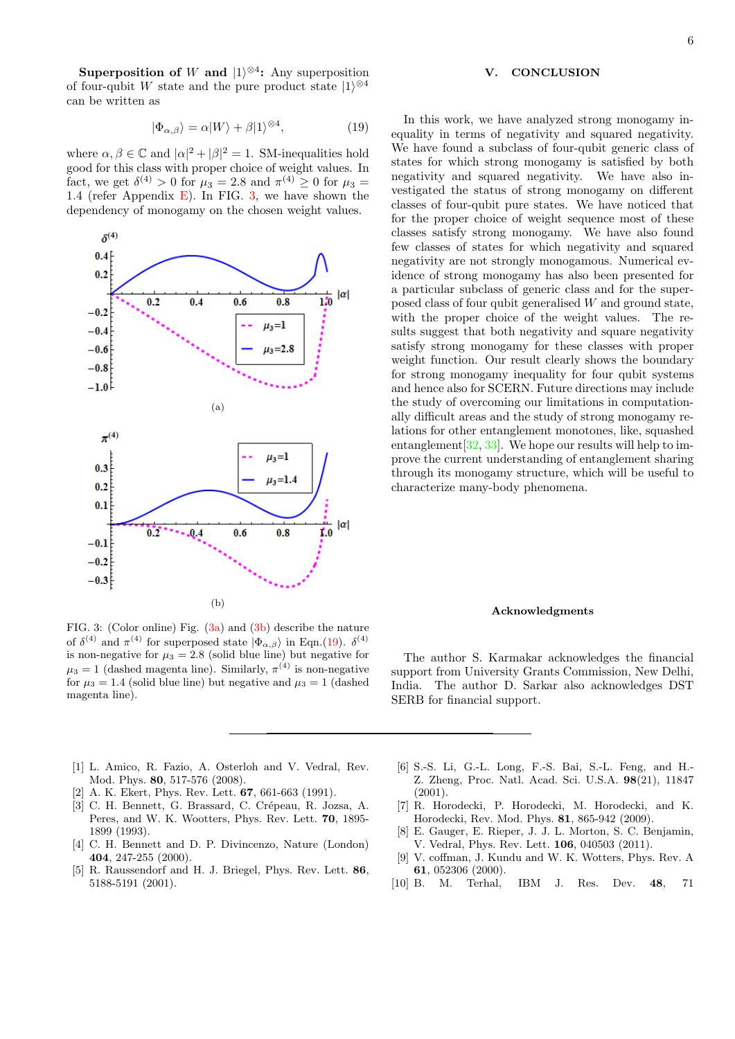Superposition of W and  $|1\rangle^{\otimes 4}$ : Any superposition of four-qubit W state and the pure product state  $|1\rangle^{\otimes 4}$ can be written as

<span id="page-5-13"></span>
$$
|\Phi_{\alpha,\beta}\rangle = \alpha|W\rangle + \beta|1\rangle^{\otimes 4},\tag{19}
$$

where  $\alpha, \beta \in \mathbb{C}$  and  $|\alpha|^2 + |\beta|^2 = 1$ . SM-inequalities hold good for this class with proper choice of weight values. In fact, we get  $\delta^{(4)} > 0$  for  $\mu_3 = 2.8$  and  $\pi^{(4)} \ge 0$  for  $\mu_3 =$ 1.4 (refer Appendix [E\)](#page-7-2). In FIG. [3,](#page-5-10) we have shown the dependency of monogamy on the chosen weight values.

<span id="page-5-12"></span><span id="page-5-11"></span>

<span id="page-5-10"></span>FIG. 3: (Color online) Fig. [\(3a\)](#page-5-11) and [\(3b\)](#page-5-12) describe the nature of  $\delta^{(4)}$  and  $\pi^{(4)}$  for superposed state  $|\Phi_{\alpha,\beta}\rangle$  in Eqn.[\(19\)](#page-5-13).  $\delta^{(4)}$ is non-negative for  $\mu_3 = 2.8$  (solid blue line) but negative for  $\mu_3 = 1$  (dashed magenta line). Similarly,  $\pi^{(4)}$  is non-negative for  $\mu_3 = 1.4$  (solid blue line) but negative and  $\mu_3 = 1$  (dashed magenta line).

### V. CONCLUSION

In this work, we have analyzed strong monogamy inequality in terms of negativity and squared negativity. We have found a subclass of four-qubit generic class of states for which strong monogamy is satisfied by both negativity and squared negativity. We have also investigated the status of strong monogamy on different classes of four-qubit pure states. We have noticed that for the proper choice of weight sequence most of these classes satisfy strong monogamy. We have also found few classes of states for which negativity and squared negativity are not strongly monogamous. Numerical evidence of strong monogamy has also been presented for a particular subclass of generic class and for the superposed class of four qubit generalised W and ground state, with the proper choice of the weight values. The results suggest that both negativity and square negativity satisfy strong monogamy for these classes with proper weight function. Our result clearly shows the boundary for strong monogamy inequality for four qubit systems and hence also for SCERN. Future directions may include the study of overcoming our limitations in computationally difficult areas and the study of strong monogamy relations for other entanglement monotones, like, squashed entanglement [\[32,](#page-6-23) [33\]](#page-6-24). We hope our results will help to improve the current understanding of entanglement sharing through its monogamy structure, which will be useful to characterize many-body phenomena.

### Acknowledgments

The author S. Karmakar acknowledges the financial support from University Grants Commission, New Delhi, India. The author D. Sarkar also acknowledges DST SERB for financial support.

- <span id="page-5-0"></span>[1] L. Amico, R. Fazio, A. Osterloh and V. Vedral, Rev. Mod. Phys. 80, 517-576 (2008).
- <span id="page-5-1"></span>[2] A. K. Ekert, Phys. Rev. Lett. **67**, 661-663 (1991).
- <span id="page-5-2"></span>[3] C. H. Bennett, G. Brassard, C. Crépeau, R. Jozsa, A. Peres, and W. K. Wootters, Phys. Rev. Lett. 70, 1895- 1899 (1993).
- <span id="page-5-3"></span>[4] C. H. Bennett and D. P. Divincenzo, Nature (London) 404, 247-255 (2000).
- <span id="page-5-9"></span>[5] R. Raussendorf and H. J. Briegel, Phys. Rev. Lett. 86, 5188-5191 (2001).
- <span id="page-5-4"></span>[6] S.-S. Li, G.-L. Long, F.-S. Bai, S.-L. Feng, and H.- Z. Zheng, Proc. Natl. Acad. Sci. U.S.A. 98(21), 11847  $(2001)$
- <span id="page-5-5"></span>[7] R. Horodecki, P. Horodecki, M. Horodecki, and K. Horodecki, Rev. Mod. Phys. 81, 865-942 (2009).
- <span id="page-5-6"></span>[8] E. Gauger, E. Rieper, J. J. L. Morton, S. C. Benjamin, V. Vedral, Phys. Rev. Lett. 106, 040503 (2011).
- <span id="page-5-7"></span>[9] V. coffman, J. Kundu and W. K. Wotters, Phys. Rev. A 61, 052306 (2000).
- <span id="page-5-8"></span>[10] B. M. Terhal, IBM J. Res. Dev. 48, 71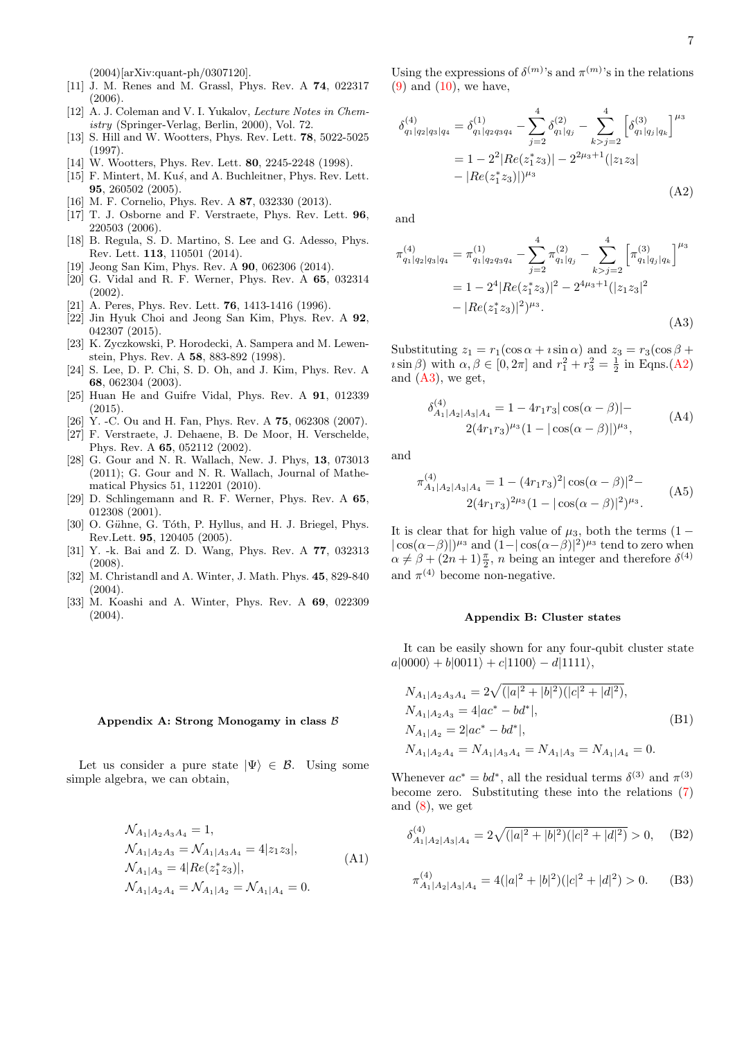(2004)[arXiv:quant-ph/0307120].

- <span id="page-6-0"></span>[11] J. M. Renes and M. Grassl, Phys. Rev. A 74, 022317 (2006).
- <span id="page-6-1"></span>[12] A. J. Coleman and V. I. Yukalov, *Lecture Notes in Chem*istry (Springer-Verlag, Berlin, 2000), Vol. 72.
- <span id="page-6-2"></span>[13] S. Hill and W. Wootters, Phys. Rev. Lett. 78, 5022-5025 (1997).
- <span id="page-6-3"></span>[14] W. Wootters, Phys. Rev. Lett. **80**, 2245-2248 (1998).
- <span id="page-6-4"></span>[15] F. Mintert, M. Kus, and A. Buchleitner, Phys. Rev. Lett. 95, 260502 (2005).
- <span id="page-6-5"></span>[16] M. F. Cornelio, Phys. Rev. A 87, 032330 (2013).
- <span id="page-6-6"></span>[17] T. J. Osborne and F. Verstraete, Phys. Rev. Lett. 96, 220503 (2006).
- <span id="page-6-7"></span>[18] B. Regula, S. D. Martino, S. Lee and G. Adesso, Phys. Rev. Lett. 113, 110501 (2014).
- <span id="page-6-8"></span>[19] Jeong San Kim, Phys. Rev. A 90, 062306 (2014).
- <span id="page-6-9"></span>[20] G. Vidal and R. F. Werner, Phys. Rev. A 65, 032314 (2002).
- <span id="page-6-10"></span>[21] A. Peres, Phys. Rev. Lett. **76**, 1413-1416 (1996).
- <span id="page-6-11"></span>[22] Jin Hyuk Choi and Jeong San Kim, Phys. Rev. A 92, 042307 (2015).
- <span id="page-6-12"></span>[23] K. Zyczkowski, P. Horodecki, A. Sampera and M. Lewenstein, Phys. Rev. A 58, 883-892 (1998).
- <span id="page-6-13"></span>[24] S. Lee, D. P. Chi, S. D. Oh, and J. Kim, Phys. Rev. A 68, 062304 (2003).
- <span id="page-6-14"></span>[25] Huan He and Guifre Vidal, Phys. Rev. A 91, 012339 (2015).
- <span id="page-6-15"></span>[26] Y. -C. Ou and H. Fan, Phys. Rev. A 75, 062308 (2007).
- <span id="page-6-16"></span>[27] F. Verstraete, J. Dehaene, B. De Moor, H. Verschelde, Phys. Rev. A 65, 052112 (2002).
- <span id="page-6-17"></span>[28] G. Gour and N. R. Wallach, New. J. Phys, 13, 073013 (2011); G. Gour and N. R. Wallach, Journal of Mathematical Physics 51, 112201 (2010).
- <span id="page-6-19"></span>[29] D. Schlingemann and R. F. Werner, Phys. Rev. A 65, 012308 (2001).
- <span id="page-6-20"></span>[30] O. Gühne, G. Tóth, P. Hyllus, and H. J. Briegel, Phys. Rev.Lett. 95, 120405 (2005).
- <span id="page-6-21"></span>[31] Y. -k. Bai and Z. D. Wang, Phys. Rev. A 77, 032313 (2008).
- <span id="page-6-23"></span>[32] M. Christandl and A. Winter, J. Math. Phys. 45, 829-840 (2004).
- <span id="page-6-24"></span>[33] M. Koashi and A. Winter, Phys. Rev. A 69, 022309 (2004).

#### <span id="page-6-18"></span>Appendix A: Strong Monogamy in class B

Let us consider a pure state  $|\Psi\rangle \in \mathcal{B}$ . Using some simple algebra, we can obtain,

$$
\mathcal{N}_{A_1|A_2A_3A_4} = 1,
$$
  
\n
$$
\mathcal{N}_{A_1|A_2A_3} = \mathcal{N}_{A_1|A_3A_4} = 4|z_1z_3|,
$$
  
\n
$$
\mathcal{N}_{A_1|A_3} = 4|Re(z_1^*z_3)|,
$$
  
\n
$$
\mathcal{N}_{A_1|A_2A_4} = \mathcal{N}_{A_1|A_2} = \mathcal{N}_{A_1|A_4} = 0.
$$
\n(A1)

Using the expressions of  $\delta^{(m)}$ 's and  $\pi^{(m)}$ 's in the relations  $(9)$  and  $(10)$ , we have,

<span id="page-6-25"></span>
$$
\delta_{q_1|q_2|q_3|q_4}^{(4)} = \delta_{q_1|q_2q_3q_4}^{(1)} - \sum_{j=2}^4 \delta_{q_1|q_j}^{(2)} - \sum_{k>j=2}^4 \left[ \delta_{q_1|q_j|q_k}^{(3)} \right]^{\mu_3}
$$
  
=  $1 - 2^2 |Re(z_1^* z_3)| - 2^{2\mu_3+1} (|z_1 z_3|)$   
-  $|Re(z_1^* z_3)|)^{\mu_3}$  (A2)

and

<span id="page-6-26"></span>
$$
\pi_{q_1|q_2|q_3|q_4}^{(4)} = \pi_{q_1|q_2q_3q_4}^{(1)} - \sum_{j=2}^4 \pi_{q_1|q_j}^{(2)} - \sum_{k>j=2}^4 \left[ \pi_{q_1|q_j|q_k}^{(3)} \right]^{\mu_3}
$$
  
=  $1 - 2^4 |Re(z_1^* z_3)|^2 - 2^{4\mu_3+1} (|z_1 z_3|^2 - |Re(z_1^* z_3)|^2)^{\mu_3}.$  (A3)

Substituting  $z_1 = r_1(\cos \alpha + i \sin \alpha)$  and  $z_3 = r_3(\cos \beta + i \sin \alpha)$  $i\sin\beta$ ) with  $\alpha, \beta \in [0, 2\pi]$  and  $r_1^2 + r_3^2 = \frac{1}{2}$  in Eqns.[\(A2\)](#page-6-25) and  $(A3)$ , we get,

$$
\delta_{A_1|A_2|A_3|A_4}^{(4)} = 1 - 4r_1r_3|\cos(\alpha - \beta)| -
$$
  
2(4r\_1r\_3)^{\mu\_3}(1 - |\cos(\alpha - \beta)|)^{\mu\_3}, (A4)

and

$$
\pi_{A_1|A_2|A_3|A_4}^{(4)} = 1 - (4r_1r_3)^2 |\cos(\alpha - \beta)|^2 -
$$
  
2(4r\_1r\_3)^{2\mu\_3} (1 - |\cos(\alpha - \beta)|^2)^{\mu\_3} . (A5)

It is clear that for high value of  $\mu_3$ , both the terms (1 –  $|\cos(\alpha-\beta)|^{\mu_3}$  and  $(1-|\cos(\alpha-\beta)|^2)^{\mu_3}$  tend to zero when  $\alpha \neq \beta + (2n + 1)\frac{\pi}{2}$ , *n* being an integer and therefore  $\delta^{(4)}$ and  $\pi^{(4)}$  become non-negative.

#### <span id="page-6-22"></span>Appendix B: Cluster states

It can be easily shown for any four-qubit cluster state  $a|0000\rangle + b|0011\rangle + c|1100\rangle - d|1111\rangle,$ 

$$
N_{A_1|A_2A_3A_4} = 2\sqrt{(|a|^2 + |b|^2)(|c|^2 + |d|^2)},
$$
  
\n
$$
N_{A_1|A_2A_3} = 4|ac^* - bd^*|,
$$
  
\n
$$
N_{A_1|A_2} = 2|ac^* - bd^*|,
$$
  
\n
$$
N_{A_1|A_2A_4} = N_{A_1|A_3A_4} = N_{A_1|A_3} = N_{A_1|A_4} = 0.
$$
\n(B1)

Whenever  $ac^* = bd^*$ , all the residual terms  $\delta^{(3)}$  and  $\pi^{(3)}$ become zero. Substituting these into the relations [\(7\)](#page-2-0) and  $(8)$ , we get

$$
\delta_{A_1|A_2|A_3|A_4}^{(4)} = 2\sqrt{(|a|^2+|b|^2)(|c|^2+|d|^2)} > 0, \quad \text{(B2)}
$$

$$
\pi_{A_1|A_2|A_3|A_4}^{(4)} = 4(|a|^2 + |b|^2)(|c|^2 + |d|^2) > 0.
$$
 (B3)